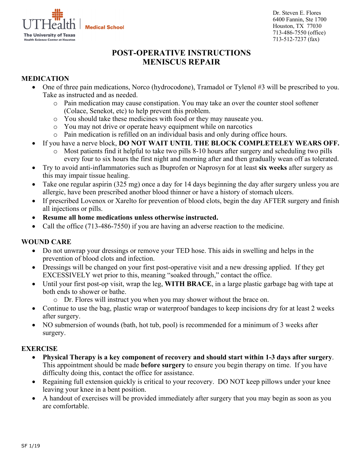**Medical School** 



Dr. Steven E. Flores 6400 Fannin, Ste 1700 Houston, TX 77030 713-486-7550 (office) 713-512-7237 (fax)

# **POST-OPERATIVE INSTRUCTIONS MENISCUS REPAIR**

## **MEDICATION**

- One of three pain medications, Norco (hydrocodone), Tramadol or Tylenol #3 will be prescribed to you. Take as instructed and as needed.
	- o Pain medication may cause constipation. You may take an over the counter stool softener (Colace, Senekot, etc) to help prevent this problem.
	- o You should take these medicines with food or they may nauseate you.
	- o You may not drive or operate heavy equipment while on narcotics
	- o Pain medication is refilled on an individual basis and only during office hours.
- If you have a nerve block, **DO NOT WAIT UNTIL THE BLOCK COMPLETELEY WEARS OFF.**
	- o Most patients find it helpful to take two pills 8-10 hours after surgery and scheduling two pills every four to six hours the first night and morning after and then gradually wean off as tolerated.
- Try to avoid anti-inflammatories such as Ibuprofen or Naprosyn for at least **six weeks** after surgery as this may impair tissue healing.
- Take one regular aspirin (325 mg) once a day for 14 days beginning the day after surgery unless you are allergic, have been prescribed another blood thinner or have a history of stomach ulcers.
- If prescribed Lovenox or Xarelto for prevention of blood clots, begin the day AFTER surgery and finish all injections or pills.
- **Resume all home medications unless otherwise instructed.**
- Call the office (713-486-7550) if you are having an adverse reaction to the medicine.

## **WOUND CARE**

- Do not unwrap your dressings or remove your TED hose. This aids in swelling and helps in the prevention of blood clots and infection.
- Dressings will be changed on your first post-operative visit and a new dressing applied. If they get EXCESSIVELY wet prior to this, meaning "soaked through," contact the office.
- Until your first post-op visit, wrap the leg, **WITH BRACE**, in a large plastic garbage bag with tape at both ends to shower or bathe.
	- o Dr. Flores will instruct you when you may shower without the brace on.
- Continue to use the bag, plastic wrap or waterproof bandages to keep incisions dry for at least 2 weeks after surgery.
- NO submersion of wounds (bath, hot tub, pool) is recommended for a minimum of 3 weeks after surgery.

## **EXERCISE**

- **Physical Therapy is a key component of recovery and should start within 1-3 days after surgery**. This appointment should be made **before surgery** to ensure you begin therapy on time. If you have difficulty doing this, contact the office for assistance.
- Regaining full extension quickly is critical to your recovery. DO NOT keep pillows under your knee leaving your knee in a bent position.
- A handout of exercises will be provided immediately after surgery that you may begin as soon as you are comfortable.